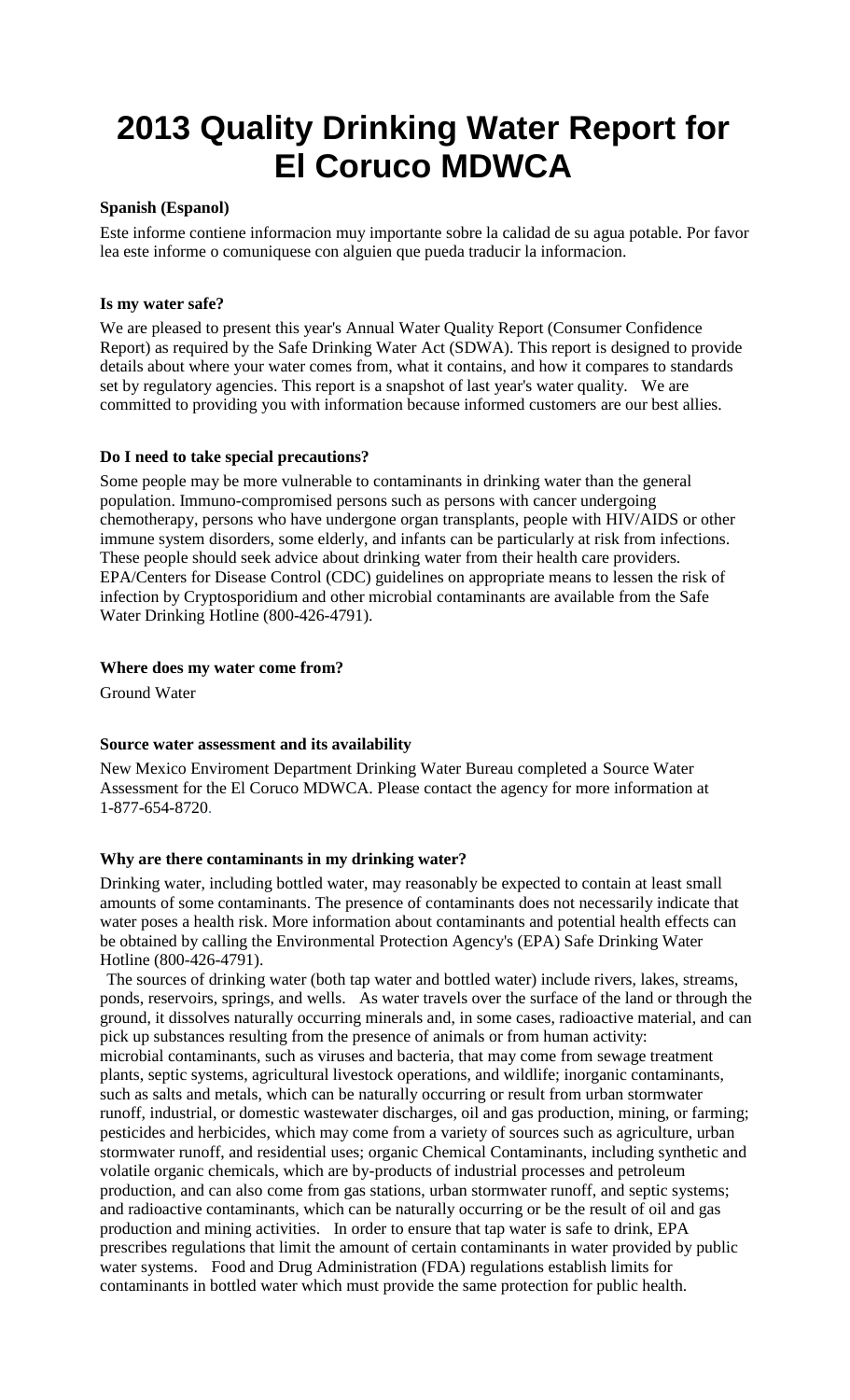# **2013 Quality Drinking Water Report for El Coruco MDWCA**

# **Spanish (Espanol)**

Este informe contiene informacion muy importante sobre la calidad de su agua potable. Por favor lea este informe o comuniquese con alguien que pueda traducir la informacion.

### **Is my water safe?**

We are pleased to present this year's Annual Water Quality Report (Consumer Confidence Report) as required by the Safe Drinking Water Act (SDWA). This report is designed to provide details about where your water comes from, what it contains, and how it compares to standards set by regulatory agencies. This report is a snapshot of last year's water quality. We are committed to providing you with information because informed customers are our best allies.

#### **Do I need to take special precautions?**

Some people may be more vulnerable to contaminants in drinking water than the general population. Immuno-compromised persons such as persons with cancer undergoing chemotherapy, persons who have undergone organ transplants, people with HIV/AIDS or other immune system disorders, some elderly, and infants can be particularly at risk from infections. These people should seek advice about drinking water from their health care providers. EPA/Centers for Disease Control (CDC) guidelines on appropriate means to lessen the risk of infection by Cryptosporidium and other microbial contaminants are available from the Safe Water Drinking Hotline (800-426-4791).

#### **Where does my water come from?**

Ground Water

#### **Source water assessment and its availability**

New Mexico Enviroment Department Drinking Water Bureau completed a Source Water Assessment for the El Coruco MDWCA. Please contact the agency for more information at 1-877-654-8720.

#### **Why are there contaminants in my drinking water?**

Drinking water, including bottled water, may reasonably be expected to contain at least small amounts of some contaminants. The presence of contaminants does not necessarily indicate that water poses a health risk. More information about contaminants and potential health effects can be obtained by calling the Environmental Protection Agency's (EPA) Safe Drinking Water Hotline (800-426-4791).

The sources of drinking water (both tap water and bottled water) include rivers, lakes, streams, ponds, reservoirs, springs, and wells. As water travels over the surface of the land or through the ground, it dissolves naturally occurring minerals and, in some cases, radioactive material, and can pick up substances resulting from the presence of animals or from human activity: microbial contaminants, such as viruses and bacteria, that may come from sewage treatment plants, septic systems, agricultural livestock operations, and wildlife; inorganic contaminants, such as salts and metals, which can be naturally occurring or result from urban stormwater runoff, industrial, or domestic wastewater discharges, oil and gas production, mining, or farming; pesticides and herbicides, which may come from a variety of sources such as agriculture, urban stormwater runoff, and residential uses; organic Chemical Contaminants, including synthetic and volatile organic chemicals, which are by-products of industrial processes and petroleum production, and can also come from gas stations, urban stormwater runoff, and septic systems; and radioactive contaminants, which can be naturally occurring or be the result of oil and gas production and mining activities. In order to ensure that tap water is safe to drink, EPA prescribes regulations that limit the amount of certain contaminants in water provided by public water systems. Food and Drug Administration (FDA) regulations establish limits for contaminants in bottled water which must provide the same protection for public health.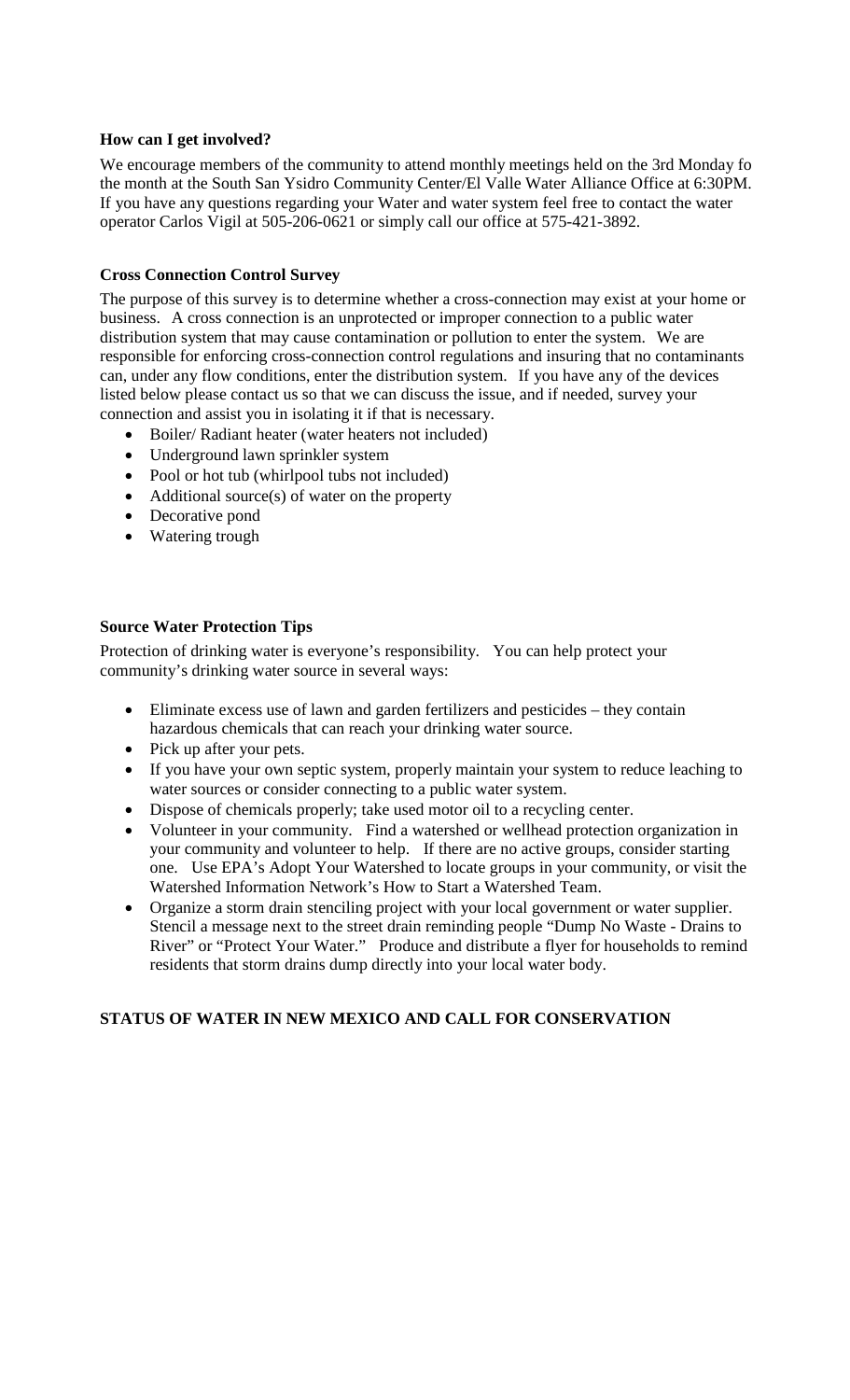## **How can I get involved?**

We encourage members of the community to attend monthly meetings held on the 3rd Monday fo the month at the South San Ysidro Community Center/El Valle Water Alliance Office at 6:30PM. If you have any questions regarding your Water and water system feel free to contact the water operator Carlos Vigil at 505-206-0621 or simply call our office at 575-421-3892.

# **Cross Connection Control Survey**

The purpose of this survey is to determine whether a cross-connection may exist at your home or business. A cross connection is an unprotected or improper connection to a public water distribution system that may cause contamination or pollution to enter the system. We are responsible for enforcing cross-connection control regulations and insuring that no contaminants can, under any flow conditions, enter the distribution system. If you have any of the devices listed below please contact us so that we can discuss the issue, and if needed, survey your connection and assist you in isolating it if that is necessary.

- Boiler/ Radiant heater (water heaters not included)
- Underground lawn sprinkler system
- Pool or hot tub (whirlpool tubs not included)
- Additional source(s) of water on the property
- Decorative pond
- Watering trough

## **Source Water Protection Tips**

Protection of drinking water is everyone's responsibility. You can help protect your community's drinking water source in several ways:

- Eliminate excess use of lawn and garden fertilizers and pesticides they contain hazardous chemicals that can reach your drinking water source.
- Pick up after your pets.
- If you have your own septic system, properly maintain your system to reduce leaching to water sources or consider connecting to a public water system.
- Dispose of chemicals properly; take used motor oil to a recycling center.
- Volunteer in your community. Find a watershed or wellhead protection organization in your community and volunteer to help. If there are no active groups, consider starting one. Use EPA's Adopt Your Watershed to locate groups in your community, or visit the Watershed Information Network's How to Start a Watershed Team.
- Organize a storm drain stenciling project with your local government or water supplier. Stencil a message next to the street drain reminding people "Dump No Waste - Drains to River" or "Protect Your Water." Produce and distribute a flyer for households to remind residents that storm drains dump directly into your local water body.

# **STATUS OF WATER IN NEW MEXICO AND CALL FOR CONSERVATION**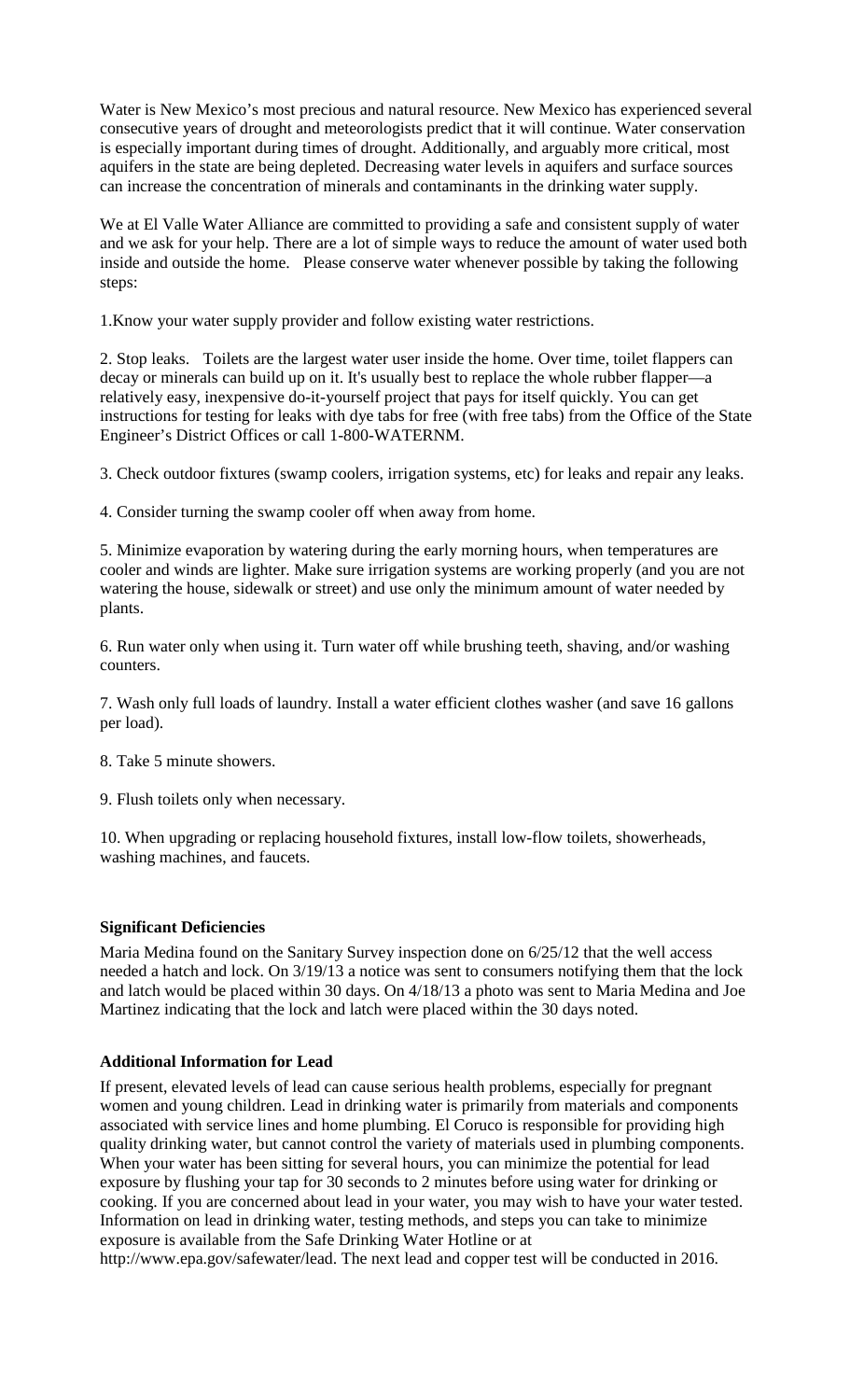Water is New Mexico's most precious and natural resource. New Mexico has experienced several consecutive years of drought and meteorologists predict that it will continue. Water conservation is especially important during times of drought. Additionally, and arguably more critical, most aquifers in the state are being depleted. Decreasing water levels in aquifers and surface sources can increase the concentration of minerals and contaminants in the drinking water supply.

We at El Valle Water Alliance are committed to providing a safe and consistent supply of water and we ask for your help. There are a lot of simple ways to reduce the amount of water used both inside and outside the home. Please conserve water whenever possible by taking the following steps:

1.Know your water supply provider and follow existing water restrictions.

2. Stop leaks. Toilets are the largest water user inside the home. Over time, toilet flappers can decay or minerals can build up on it. It's usually best to replace the whole rubber flapper—a relatively easy, inexpensive do-it-yourself project that pays for itself quickly. You can get instructions for testing for leaks with dye tabs for free (with free tabs) from the Office of the State Engineer's District Offices or call 1-800-WATERNM.

3. Check outdoor fixtures (swamp coolers, irrigation systems, etc) for leaks and repair any leaks.

4. Consider turning the swamp cooler off when away from home.

5. Minimize evaporation by watering during the early morning hours, when temperatures are cooler and winds are lighter. Make sure irrigation systems are working properly (and you are not watering the house, sidewalk or street) and use only the minimum amount of water needed by plants.

6. Run water only when using it. Turn water off while brushing teeth, shaving, and/or washing counters.

7. Wash only full loads of laundry. Install a water efficient clothes washer (and save 16 gallons per load).

8. Take 5 minute showers.

9. Flush toilets only when necessary.

10. When upgrading or replacing household fixtures, install low-flow toilets, showerheads, washing machines, and faucets.

#### **Significant Deficiencies**

Maria Medina found on the Sanitary Survey inspection done on 6/25/12 that the well access needed a hatch and lock. On 3/19/13 a notice was sent to consumers notifying them that the lock and latch would be placed within 30 days. On 4/18/13 a photo was sent to Maria Medina and Joe Martinez indicating that the lock and latch were placed within the 30 days noted.

# **Additional Information for Lead**

If present, elevated levels of lead can cause serious health problems, especially for pregnant women and young children. Lead in drinking water is primarily from materials and components associated with service lines and home plumbing. El Coruco is responsible for providing high quality drinking water, but cannot control the variety of materials used in plumbing components. When your water has been sitting for several hours, you can minimize the potential for lead exposure by flushing your tap for 30 seconds to 2 minutes before using water for drinking or cooking. If you are concerned about lead in your water, you may wish to have your water tested. Information on lead in drinking water, testing methods, and steps you can take to minimize exposure is available from the Safe Drinking Water Hotline or at

http://www.epa.gov/safewater/lead. The next lead and copper test will be conducted in 2016.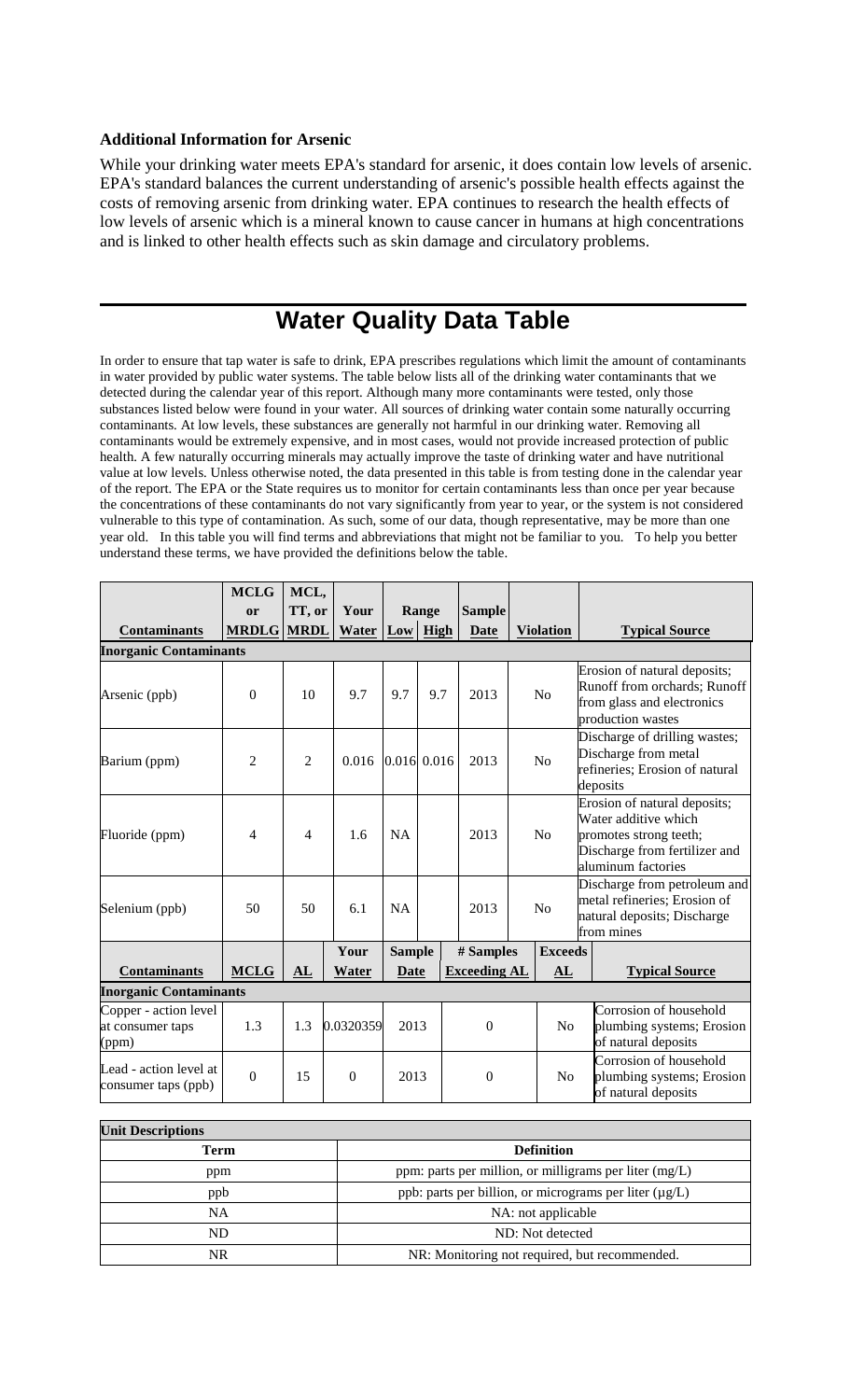#### **Additional Information for Arsenic**

While your drinking water meets EPA's standard for arsenic, it does contain low levels of arsenic. EPA's standard balances the current understanding of arsenic's possible health effects against the costs of removing arsenic from drinking water. EPA continues to research the health effects of low levels of arsenic which is a mineral known to cause cancer in humans at high concentrations and is linked to other health effects such as skin damage and circulatory problems.

# **Water Quality Data Table**

In order to ensure that tap water is safe to drink, EPA prescribes regulations which limit the amount of contaminants in water provided by public water systems. The table below lists all of the drinking water contaminants that we detected during the calendar year of this report. Although many more contaminants were tested, only those substances listed below were found in your water. All sources of drinking water contain some naturally occurring contaminants. At low levels, these substances are generally not harmful in our drinking water. Removing all contaminants would be extremely expensive, and in most cases, would not provide increased protection of public health. A few naturally occurring minerals may actually improve the taste of drinking water and have nutritional value at low levels. Unless otherwise noted, the data presented in this table is from testing done in the calendar year of the report. The EPA or the State requires us to monitor for certain contaminants less than once per year because the concentrations of these contaminants do not vary significantly from year to year, or the system is not considered vulnerable to this type of contamination. As such, some of our data, though representative, may be more than one year old. In this table you will find terms and abbreviations that might not be familiar to you. To help you better understand these terms, we have provided the definitions below the table.

|                                                    | <b>MCLG</b>       | MCL,           |           |               |               |                     |  |                  |                                                                                                                                       |  |
|----------------------------------------------------|-------------------|----------------|-----------|---------------|---------------|---------------------|--|------------------|---------------------------------------------------------------------------------------------------------------------------------------|--|
|                                                    | or                | TT, or         | Your      |               | Range         | <b>Sample</b>       |  |                  |                                                                                                                                       |  |
| <b>Contaminants</b>                                | <b>MRDLG MRDL</b> |                | Water     |               | $Low$ High    | <b>Date</b>         |  | <b>Violation</b> | <b>Typical Source</b>                                                                                                                 |  |
| <b>Inorganic Contaminants</b>                      |                   |                |           |               |               |                     |  |                  |                                                                                                                                       |  |
| Arsenic (ppb)                                      | $\theta$          | 10             | 9.7       | 9.7           | 9.7           | 2013                |  | N <sub>o</sub>   | Erosion of natural deposits;<br>Runoff from orchards; Runoff<br>from glass and electronics<br>production wastes                       |  |
| Barium (ppm)                                       | $\overline{2}$    | $\overline{2}$ | 0.016     |               | $0.016$ 0.016 | 2013                |  | N <sub>o</sub>   | Discharge of drilling wastes;<br>Discharge from metal<br>refineries; Erosion of natural<br>deposits                                   |  |
| Fluoride (ppm)                                     | $\overline{4}$    | $\overline{4}$ | 1.6       | <b>NA</b>     |               | 2013                |  | N <sub>o</sub>   | Erosion of natural deposits;<br>Water additive which<br>promotes strong teeth;<br>Discharge from fertilizer and<br>aluminum factories |  |
| Selenium (ppb)                                     | 50                | 50             | 6.1       | NA            |               | 2013                |  | No               | Discharge from petroleum and<br>metal refineries; Erosion of<br>natural deposits; Discharge<br>from mines                             |  |
|                                                    |                   |                | Your      | <b>Sample</b> |               | # Samples           |  | <b>Exceeds</b>   |                                                                                                                                       |  |
| <b>Contaminants</b>                                | <b>MCLG</b>       | AL             | Water     | Date          |               | <b>Exceeding AL</b> |  | AL               | <b>Typical Source</b>                                                                                                                 |  |
| <b>Inorganic Contaminants</b>                      |                   |                |           |               |               |                     |  |                  |                                                                                                                                       |  |
| Copper - action level<br>at consumer taps<br>(ppm) | 1.3               | 1.3            | 0.0320359 | 2013          |               | $\mathbf{0}$        |  | N <sub>o</sub>   | Corrosion of household<br>plumbing systems; Erosion<br>of natural deposits                                                            |  |
| Lead - action level at<br>consumer taps (ppb)      | $\mathbf{0}$      | 15             | $\Omega$  | 2013          |               | $\mathbf{0}$        |  | N <sub>0</sub>   | Corrosion of household<br>plumbing systems; Erosion<br>of natural deposits                                                            |  |

| <b>Unit Descriptions</b> |                                                             |  |  |  |  |
|--------------------------|-------------------------------------------------------------|--|--|--|--|
| Term                     | <b>Definition</b>                                           |  |  |  |  |
| ppm                      | ppm: parts per million, or milligrams per liter $(mg/L)$    |  |  |  |  |
| ppb                      | ppb: parts per billion, or micrograms per liter $(\mu g/L)$ |  |  |  |  |
| NA                       | NA: not applicable                                          |  |  |  |  |
| ND                       | ND: Not detected                                            |  |  |  |  |
| NR                       | NR: Monitoring not required, but recommended.               |  |  |  |  |